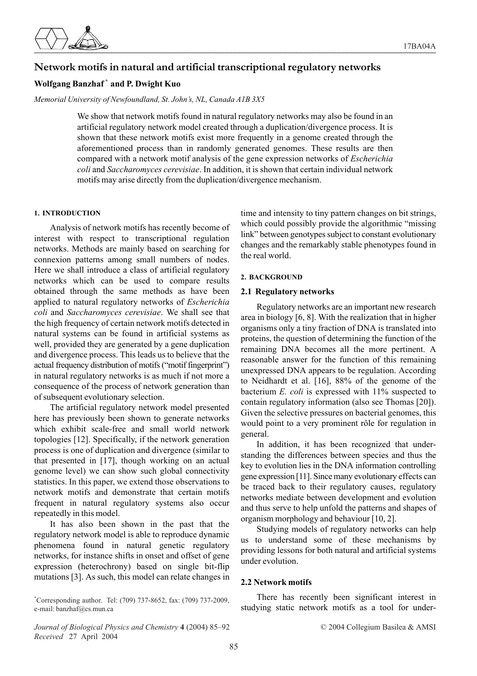

# **Network motifs in natural and artificial transcriptional regulatory networks**

# **Wolfgang Banzhaf \* and P. Dwight Kuo**

*Memorial University of Newfoundland, St. John's, NL, Canada A1B 3X5*

We show that network motifs found in natural regulatory networks may also be found in an artificial regulatory network model created through a duplication/divergence process. It is shown that these network motifs exist more frequently in a genome created through the aforementioned process than in randomly generated genomes. These results are then compared with a network motif analysis of the gene expression networks of *Escherichia coli* and *Saccharomyces cerevisiae*. In addition, it is shown that certain individual network motifs may arise directly from the duplication/divergence mechanism.

## **1. INTRODUCTION**

Analysis of network motifs has recently become of interest with respect to transcriptional regulation networks. Methods are mainly based on searching for connexion patterns among small numbers of nodes. Here we shall introduce a class of artificial regulatory networks which can be used to compare results obtained through the same methods as have been applied to natural regulatory networks of *Escherichia coli* and *Saccharomyces cerevisiae*. We shall see that the high frequency of certain network motifs detected in natural systems can be found in artificial systems as well, provided they are generated by a gene duplication and divergence process. This leads us to believe that the actual frequency distribution of motifs ("motif fingerprint") in natural regulatory networks is as much if not more a consequence of the process of network generation than of subsequent evolutionary selection.

The artificial regulatory network model presented here has previously been shown to generate networks which exhibit scale-free and small world network topologies [12]. Specifically, if the network generation process is one of duplication and divergence (similar to that presented in [17], though working on an actual genome level) we can show such global connectivity statistics. In this paper, we extend those observations to network motifs and demonstrate that certain motifs frequent in natural regulatory systems also occur repeatedly in this model.

It has also been shown in the past that the regulatory network model is able to reproduce dynamic phenomena found in natural genetic regulatory networks, for instance shifts in onset and offset of gene expression (heterochrony) based on single bit-flip mutations [3]. As such, this model can relate changes in

\* Corresponding author. Tel: (709) 737-8652, fax: (709) 737-2009, e-mail: banzhaf@cs.mun.ca

*Journal of Biological Physics and Chemistry* **4** (2004) 85–92 © 2004 Collegium Basilea & AMSI *Received* 27 April 2004

time and intensity to tiny pattern changes on bit strings, which could possibly provide the algorithmic "missing link" between genotypes subject to constant evolutionary changes and the remarkably stable phenotypes found in the real world.

## **2. BACKGROUND**

## **2.1 Regulatory networks**

Regulatory networks are an important new research area in biology [6, 8]. With the realization that in higher organisms only a tiny fraction of DNA is translated into proteins, the question of determining the function of the remaining DNA becomes all the more pertinent. A reasonable answer for the function of this remaining unexpressed DNA appears to be regulation. According to Neidhardt et al. [16], 88% of the genome of the bacterium *E. coli* is expressed with 11% suspected to contain regulatory information (also see Thomas [20]). Given the selective pressures on bacterial genomes, this would point to a very prominent rôle for regulation in general.

In addition, it has been recognized that understanding the differences between species and thus the key to evolution lies in the DNA information controlling gene expression [11]. Since many evolutionary effects can be traced back to their regulatory causes, regulatory networks mediate between development and evolution and thus serve to help unfold the patterns and shapes of organism morphology and behaviour [10, 2].

Studying models of regulatory networks can help us to understand some of these mechanisms by providing lessons for both natural and artificial systems under evolution.

## **2.2 Network motifs**

There has recently been significant interest in studying static network motifs as a tool for under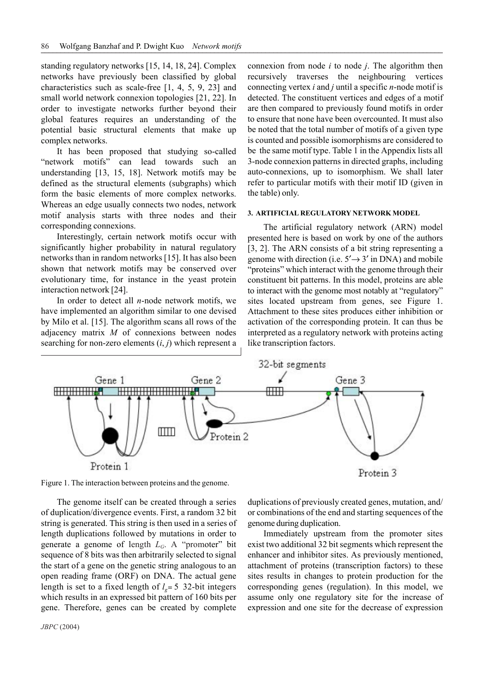standing regulatory networks [15, 14, 18, 24]. Complex networks have previously been classified by global characteristics such as scale-free [1, 4, 5, 9, 23] and small world network connexion topologies [21, 22]. In order to investigate networks further beyond their global features requires an understanding of the potential basic structural elements that make up complex networks.

It has been proposed that studying so-called "network motifs" can lead towards such an understanding [13, 15, 18]. Network motifs may be defined as the structural elements (subgraphs) which form the basic elements of more complex networks. Whereas an edge usually connects two nodes, network motif analysis starts with three nodes and their corresponding connexions.

Interestingly, certain network motifs occur with significantly higher probability in natural regulatory networks than in random networks [15]. It has also been shown that network motifs may be conserved over evolutionary time, for instance in the yeast protein interaction network [24].

In order to detect all *n*-node network motifs, we have implemented an algorithm similar to one devised by Milo et al. [15]. The algorithm scans all rows of the adjacency matrix *M* of connexions between nodes searching for non-zero elements (*i*, *j*) which represent a connexion from node *i* to node *j*. The algorithm then recursively traverses the neighbouring vertices connecting vertex *i* and *j* until a specific *n*-node motif is detected. The constituent vertices and edges of a motif are then compared to previously found motifs in order to ensure that none have been overcounted. It must also be noted that the total number of motifs of a given type is counted and possible isomorphisms are considered to be the same motif type. Table 1 in the Appendix lists all 3-node connexion patterns in directed graphs, including auto-connexions, up to isomorphism. We shall later refer to particular motifs with their motif ID (given in the table) only.

### **3. ARTIFICIAL REGULATORY NETWORK MODEL**

The artificial regulatory network (ARN) model presented here is based on work by one of the authors [3, 2]. The ARN consists of a bit string representing a genome with direction (i.e.  $5' \rightarrow 3'$  in DNA) and mobile "proteins" which interact with the genome through their constituent bit patterns. In this model, proteins are able to interact with the genome most notably at "regulatory" sites located upstream from genes, see Figure 1. Attachment to these sites produces either inhibition or activation of the corresponding protein. It can thus be interpreted as a regulatory network with proteins acting like transcription factors.



Figure 1. The interaction between proteins and the genome.

The genome itself can be created through a series of duplication/divergence events. First, a random 32 bit string is generated. This string is then used in a series of length duplications followed by mutations in order to generate a genome of length  $L_G$ . A "promoter" bit sequence of 8 bits was then arbitrarily selected to signal the start of a gene on the genetic string analogous to an open reading frame (ORF) on DNA. The actual gene length is set to a fixed length of  $l<sub>o</sub> = 5$  32-bit integers which results in an expressed bit pattern of 160 bits per gene. Therefore, genes can be created by complete

duplications of previously created genes, mutation, and/ or combinations of the end and starting sequences of the genome during duplication.

Immediately upstream from the promoter sites exist two additional 32 bit segments which represent the enhancer and inhibitor sites. As previously mentioned, attachment of proteins (transcription factors) to these sites results in changes to protein production for the corresponding genes (regulation). In this model, we assume only one regulatory site for the increase of expression and one site for the decrease of expression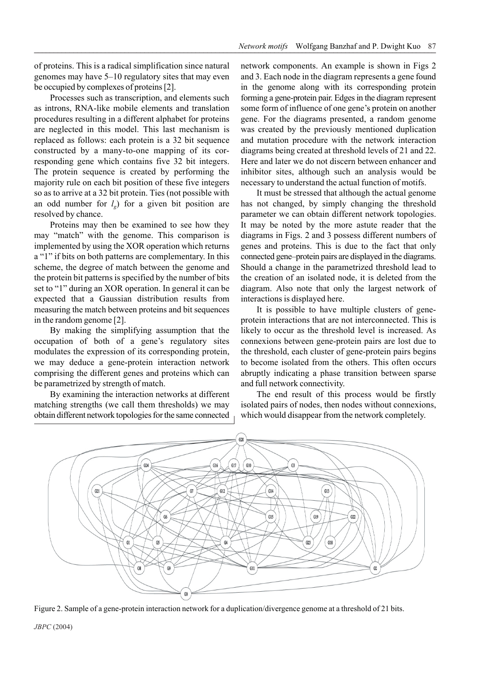of proteins. This is a radical simplification since natural genomes may have 5–10 regulatory sites that may even be occupied by complexes of proteins [2].

Processes such as transcription, and elements such as introns, RNA-like mobile elements and translation procedures resulting in a different alphabet for proteins are neglected in this model. This last mechanism is replaced as follows: each protein is a 32 bit sequence constructed by a many-to-one mapping of its corresponding gene which contains five 32 bit integers. The protein sequence is created by performing the majority rule on each bit position of these five integers so as to arrive at a 32 bit protein. Ties (not possible with an odd number for  $l_{g}$ ) for a given bit position are resolved by chance.

Proteins may then be examined to see how they may "match" with the genome. This comparison is implemented by using the XOR operation which returns a "1" if bits on both patterns are complementary. In this scheme, the degree of match between the genome and the protein bit patterns is specified by the number of bits set to "1" during an XOR operation. In general it can be expected that a Gaussian distribution results from measuring the match between proteins and bit sequences in the random genome [2].

By making the simplifying assumption that the occupation of both of a gene's regulatory sites modulates the expression of its corresponding protein, we may deduce a gene-protein interaction network comprising the different genes and proteins which can be parametrized by strength of match.

By examining the interaction networks at different matching strengths (we call them thresholds) we may obtain different network topologies for the same connected network components. An example is shown in Figs 2 and 3. Each node in the diagram represents a gene found in the genome along with its corresponding protein forming a gene-protein pair. Edges in the diagram represent some form of influence of one gene's protein on another gene. For the diagrams presented, a random genome was created by the previously mentioned duplication and mutation procedure with the network interaction diagrams being created at threshold levels of 21 and 22. Here and later we do not discern between enhancer and inhibitor sites, although such an analysis would be necessary to understand the actual function of motifs.

It must be stressed that although the actual genome has not changed, by simply changing the threshold parameter we can obtain different network topologies. It may be noted by the more astute reader that the diagrams in Figs. 2 and 3 possess different numbers of genes and proteins. This is due to the fact that only connected gene–protein pairs are displayed in the diagrams. Should a change in the parametrized threshold lead to the creation of an isolated node, it is deleted from the diagram. Also note that only the largest network of interactions is displayed here.

It is possible to have multiple clusters of geneprotein interactions that are not interconnected. This is likely to occur as the threshold level is increased. As connexions between gene-protein pairs are lost due to the threshold, each cluster of gene-protein pairs begins to become isolated from the others. This often occurs abruptly indicating a phase transition between sparse and full network connectivity.

The end result of this process would be firstly isolated pairs of nodes, then nodes without connexions, which would disappear from the network completely.



Figure 2. Sample of a gene-protein interaction network for a duplication/divergence genome at a threshold of 21 bits.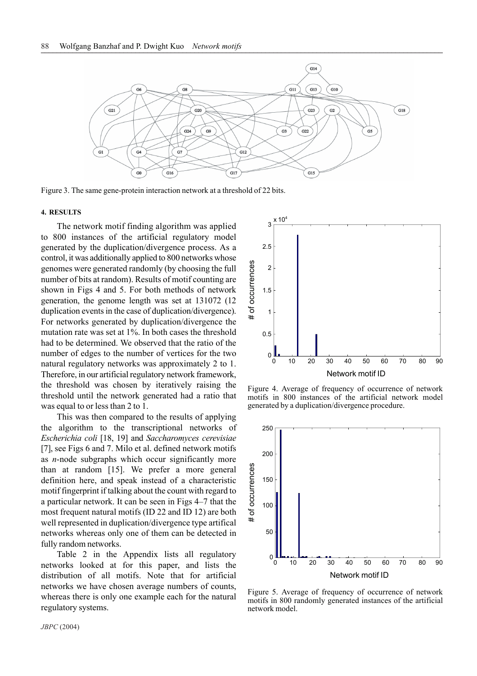

Figure 3. The same gene-protein interaction network at a threshold of 22 bits.

#### **4. RESULTS**

The network motif finding algorithm was applied to 800 instances of the artificial regulatory model generated by the duplication/divergence process. As a control, it was additionally applied to 800 networks whose genomes were generated randomly (by choosing the full number of bits at random). Results of motif counting are shown in Figs 4 and 5. For both methods of network generation, the genome length was set at 131072 (12 duplication events in the case of duplication/divergence). For networks generated by duplication/divergence the mutation rate was set at 1%. In both cases the threshold had to be determined. We observed that the ratio of the number of edges to the number of vertices for the two natural regulatory networks was approximately 2 to 1. Therefore, in our artificial regulatory network framework, the threshold was chosen by iteratively raising the threshold until the network generated had a ratio that was equal to or less than 2 to 1.

This was then compared to the results of applying the algorithm to the transcriptional networks of *Escherichia coli* [18, 19] and *Saccharomyces cerevisiae* [7], see Figs 6 and 7. Milo et al. defined network motifs as *n*-node subgraphs which occur significantly more than at random [15]. We prefer a more general definition here, and speak instead of a characteristic motif fingerprint if talking about the count with regard to a particular network. It can be seen in Figs 4–7 that the most frequent natural motifs (ID 22 and ID 12) are both well represented in duplication/divergence type artifical networks whereas only one of them can be detected in fully random networks.

Table 2 in the Appendix lists all regulatory networks looked at for this paper, and lists the distribution of all motifs. Note that for artificial networks we have chosen average numbers of counts, whereas there is only one example each for the natural regulatory systems.



Figure 4. Average of frequency of occurrence of network motifs in 800 instances of the artificial network model generated by a duplication/divergence procedure.



Figure 5. Average of frequency of occurrence of network motifs in 800 randomly generated instances of the artificial network model.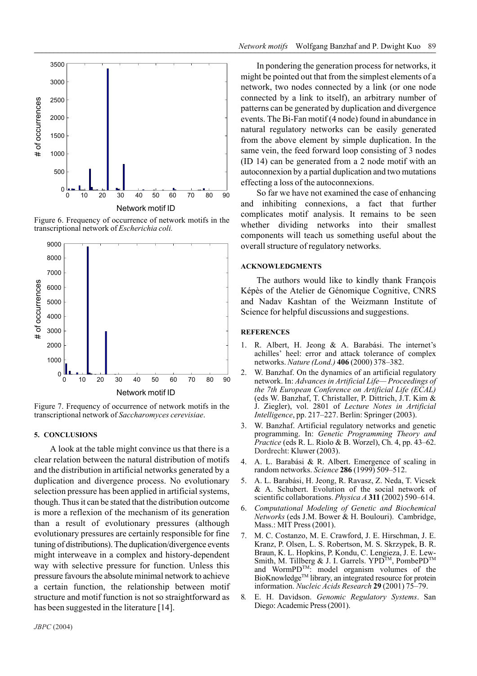

Figure 6. Frequency of occurrence of network motifs in the transcriptional network of *Escherichia coli.*



Figure 7. Frequency of occurrence of network motifs in the transcriptional network of *Saccharomyces cerevisiae*.

### **5. CONCLUSIONS**

A look at the table might convince us that there is a clear relation between the natural distribution of motifs and the distribution in artificial networks generated by a duplication and divergence process. No evolutionary selection pressure has been applied in artificial systems, though. Thus it can be stated that the distribution outcome is more a reflexion of the mechanism of its generation than a result of evolutionary pressures (although evolutionary pressures are certainly responsible for fine tuning of distributions). The duplication/divergence events might interweave in a complex and history-dependent way with selective pressure for function. Unless this pressure favours the absolute minimal network to achieve a certain function, the relationship between motif structure and motif function is not so straightforward as has been suggested in the literature [14].

In pondering the generation process for networks, it might be pointed out that from the simplest elements of a network, two nodes connected by a link (or one node connected by a link to itself), an arbitrary number of patterns can be generated by duplication and divergence events. The Bi-Fan motif (4 node) found in abundance in natural regulatory networks can be easily generated from the above element by simple duplication. In the same vein, the feed forward loop consisting of 3 nodes (ID 14) can be generated from a 2 node motif with an autoconnexion by a partial duplication and two mutations effecting a loss of the autoconnexions.

So far we have not examined the case of enhancing and inhibiting connexions, a fact that further complicates motif analysis. It remains to be seen whether dividing networks into their smallest components will teach us something useful about the overall structure of regulatory networks.

#### **ACKNOWLEDGMENTS**

The authors would like to kindly thank François Képès of the Atelier de Génomique Cognitive, CNRS and Nadav Kashtan of the Weizmann Institute of Science for helpful discussions and suggestions.

### **REFERENCES**

- 1. R. Albert, H. Jeong & A. Barabási. The internet's achilles' heel: error and attack tolerance of complex networks. *Nature (Lond.)* **406** (2000) 378–382.
- 2. W. Banzhaf. On the dynamics of an artificial regulatory network. In: *Advances in Artificial Life— Proceedings of the 7th European Conference on Artificial Life (ECAL)* (eds W. Banzhaf, T. Christaller, P. Dittrich, J.T. Kim & J. Ziegler), vol. 2801 of *Lecture Notes in Artificial Intelligence*, pp. 217–227. Berlin: Springer (2003).
- 3. W. Banzhaf. Artificial regulatory networks and genetic programming. In: *Genetic Programming Theory and Practice* (eds R. L. Riolo & B. Worzel), Ch. 4, pp. 43–62. Dordrecht: Kluwer (2003).
- 4. A. L. Barabási & R. Albert. Emergence of scaling in random networks. *Science* **286** (1999) 509–512.
- 5. A. L. Barabási, H. Jeong, R. Ravasz, Z. Neda, T. Vicsek & A. Schubert. Evolution of the social network of scientific collaborations. *Physica A* **311** (2002) 590–614.
- 6. *Computational Modeling of Genetic and Biochemical Networks* (eds J.M. Bower & H. Boulouri). Cambridge, Mass.: MIT Press (2001).
- 7. M. C. Costanzo, M. E. Crawford, J. E. Hirschman, J. E. Kranz, P. Olsen, L. S. Robertson, M. S. Skrzypek, B. R. Braun, K. L. Hopkins, P. Kondu, C. Lengieza, J. E. Lew-Smith, M. Tillberg & J. I. Garrels. YPD<sup>TM</sup>, PombePD<sup>TM</sup> and WormPD<sup>TM</sup>: model organism volumes of the BioKnowledge<sup>TM</sup> library, an integrated resource for protein information. *Nucleic Acids Research* **29** (2001) 75–79.
- 8. E. H. Davidson. *Genomic Regulatory Systems*. San Diego: Academic Press (2001).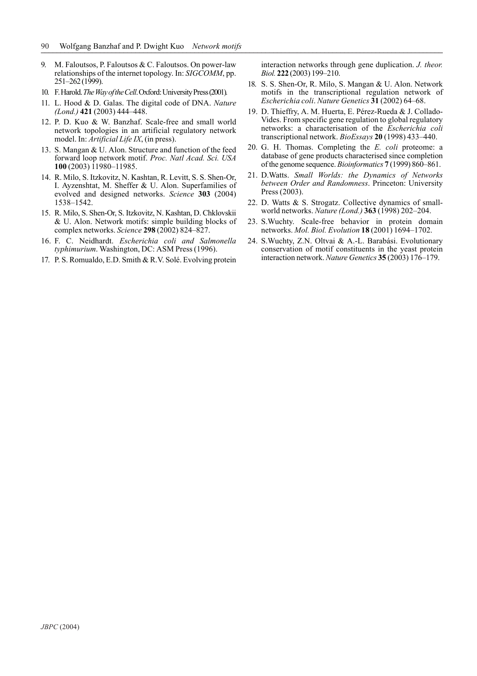- 9. M. Faloutsos, P. Faloutsos & C. Faloutsos. On power-law relationships of the internet topology. In: *SIGCOMM*, pp. 251–262 (1999).
- 10. F. Harold. *The Way of the Cell*. Oxford: University Press (2001).
- 11. L. Hood & D. Galas. The digital code of DNA. *Nature (Lond.)* **421** (2003) 444–448.
- 12. P. D. Kuo & W. Banzhaf. Scale-free and small world network topologies in an artificial regulatory network model. In: *Artificial Life IX*, (in press).
- 13. S. Mangan & U. Alon. Structure and function of the feed forward loop network motif. *Proc. Natl Acad. Sci. USA* **100** (2003) 11980–11985.
- 14. R. Milo, S. Itzkovitz, N. Kashtan, R. Levitt, S. S. Shen-Or, I. Ayzenshtat, M. Sheffer & U. Alon. Superfamilies of evolved and designed networks. *Science* **303** (2004) 1538–1542.
- 15. R. Milo, S. Shen-Or, S. Itzkovitz, N. Kashtan, D. Chklovskii & U. Alon. Network motifs: simple building blocks of complex networks. *Science* **298** (2002) 824–827.
- 16. F. C. Neidhardt. *Escherichia coli and Salmonella typhimurium*. Washington, DC: ASM Press (1996).
- 17. P. S. Romualdo, E.D. Smith & R.V. Solé. Evolving protein

interaction networks through gene duplication. *J. theor. Biol.* **222** (2003) 199–210.

- 18. S. S. Shen-Or, R. Milo, S. Mangan & U. Alon. Network motifs in the transcriptional regulation network of *Escherichia coli*. *Nature Genetics* **31** (2002) 64–68.
- 19. D. Thieffry, A. M. Huerta, E. Pérez-Rueda & J. Collado-Vides. From specific gene regulation to global regulatory networks: a characterisation of the *Escherichia coli* transcriptional network. *BioEssays* **20** (1998) 433–440.
- 20. G. H. Thomas. Completing the *E. coli* proteome: a database of gene products characterised since completion of the genome sequence. *Bioinformatics* **7** (1999) 860–861.
- 21. D.Watts. *Small Worlds: the Dynamics of Networks between Order and Randomness*. Princeton: University Press (2003).
- 22. D. Watts & S. Strogatz. Collective dynamics of smallworld networks. *Nature (Lond.)* **363** (1998) 202–204.
- 23. S.Wuchty. Scale-free behavior in protein domain networks. *Mol. Biol. Evolution* **18** (2001) 1694–1702.
- 24. S.Wuchty, Z.N. Oltvai & A.-L. Barabási. Evolutionary conservation of motif constituents in the yeast protein interaction network. *Nature Genetics* **35** (2003) 176–179.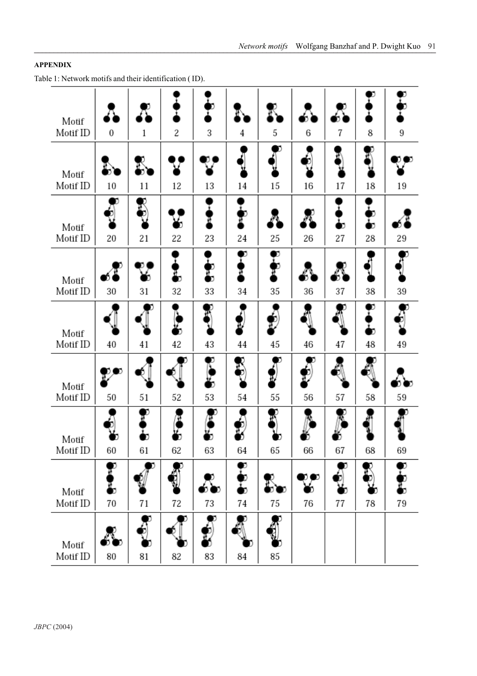## **APPENDIX**

Table 1: Network motifs and their identification ( ID).

| Motif             |                  | Δ       | ī                | I            |                    |                    |                |         |              |    |
|-------------------|------------------|---------|------------------|--------------|--------------------|--------------------|----------------|---------|--------------|----|
| Motif ID          | $\boldsymbol{0}$ | 1       | 2                | 3            | 4                  | 5                  | 6              | 7       | 8            | 9  |
| Motif<br>Motif ID | 10               | 11      | 12               | 13           | 14                 | D<br>15            | 16             | 17      | 18           | 19 |
| Motif<br>Motif ID | 20               | 21      | 22               | H<br>23      | ₽<br>24            | 25                 | 26             | n<br>27 | п<br>b<br>28 | 29 |
| Motif<br>Motif ID | 30               | h<br>31 | Ŧ,<br>32         | n<br>33      | D<br>₩<br>34       | <b>DEDEN</b><br>35 | 36             | 37      | 38           | 39 |
| Motif<br>Motif ID | 40               | 41      | $\epsilon$<br>42 | 43           | 44                 | $\phi$<br>45       | 46             | 47      | Ð<br>n<br>48 | 49 |
| Motif<br>Motif ID | 50               | 51      | 52               | Đ<br>n<br>53 | 54                 | 55                 | þ<br>56        | 57      | 58           | 59 |
| Motif<br>Motif ID | 60               | n<br>61 | n<br>62          | n<br>63      | 64                 | 65                 | 66             | 67      | 68           | 69 |
| Motif<br>Motif ID | ŋ<br>70          | 71      | 72               | 73           | $\mathbf{r}$<br>74 | D<br>75            | D (<br>D<br>76 | 77      | 78           | 79 |
| Motif<br>Motif ID | 80               | 81      | 82               | ģ<br>83      | 84                 | 85                 |                |         |              |    |